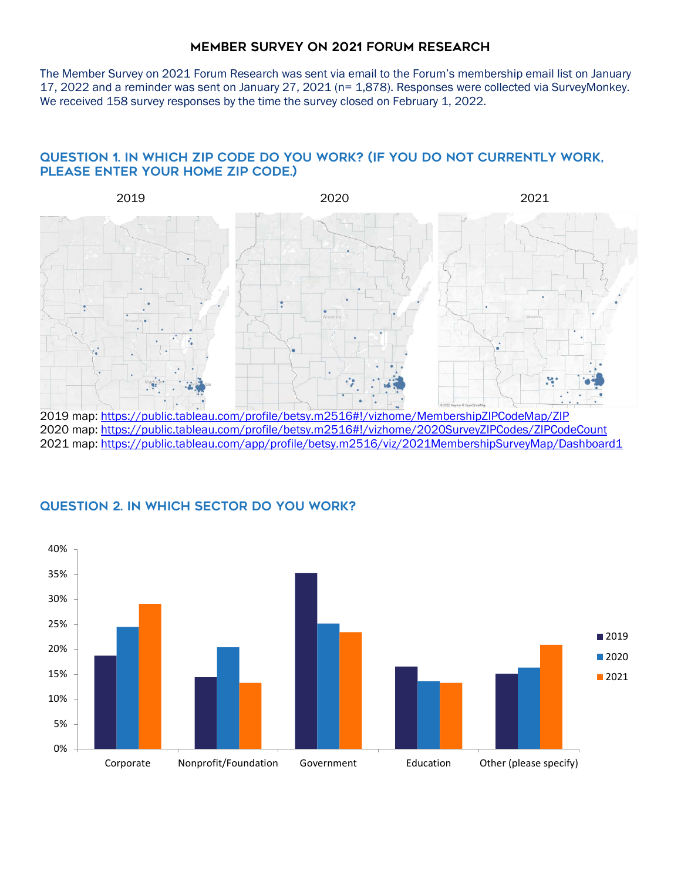The Member Survey on 2021 Forum Research was sent via email to the Forum's membership email list on January 17, 2022 and a reminder was sent on January 27, 2021 (n= 1,878). Responses were collected via SurveyMonkey. We received 158 survey responses by the time the survey closed on February 1, 2022.

# Question 1. In which zip code do you work? (If you do not currently work, please enter your home zip code.)



2020 map[: https://public.tableau.com/profile/betsy.m2516#!/vizhome/2020SurveyZIPCodes/ZIPCodeCount](https://public.tableau.com/profile/betsy.m2516#!/vizhome/2020SurveyZIPCodes/ZIPCodeCount) 2021 map[: https://public.tableau.com/app/profile/betsy.m2516/viz/2021MembershipSurveyMap/Dashboard1](https://public.tableau.com/app/profile/betsy.m2516/viz/2021MembershipSurveyMap/Dashboard1)



# Question 2. In which sector do you work?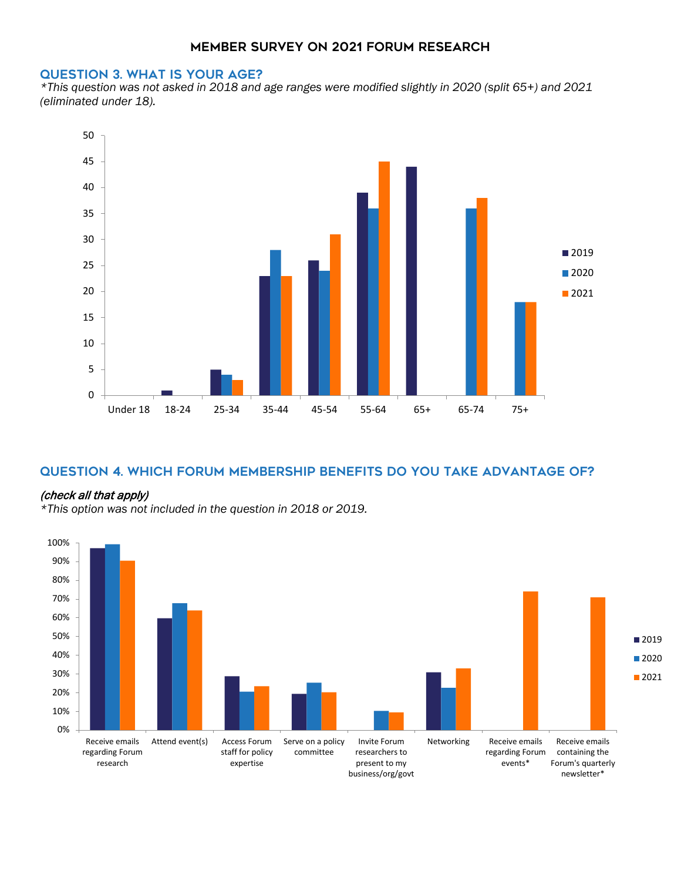#### Question 3. What is your age?

*\*This question was not asked in 2018 and age ranges were modified slightly in 2020 (split 65+) and 2021 (eliminated under 18).*



## Question 4. Which Forum membership benefits do you take advantage of?

#### (check all that apply)

*\*This option was not included in the question in 2018 or 2019.* 

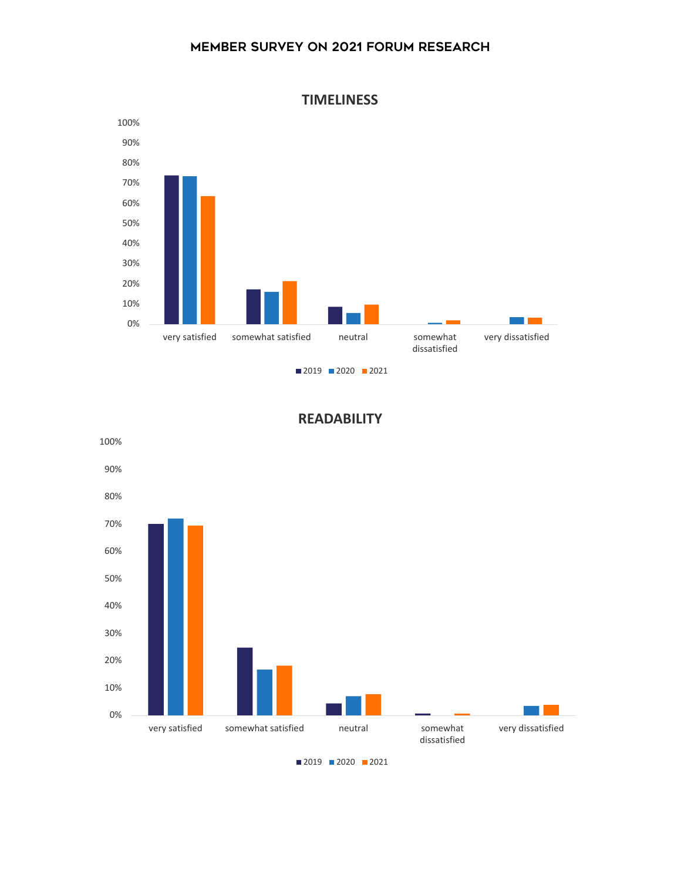

**READABILITY**



**TIMELINESS**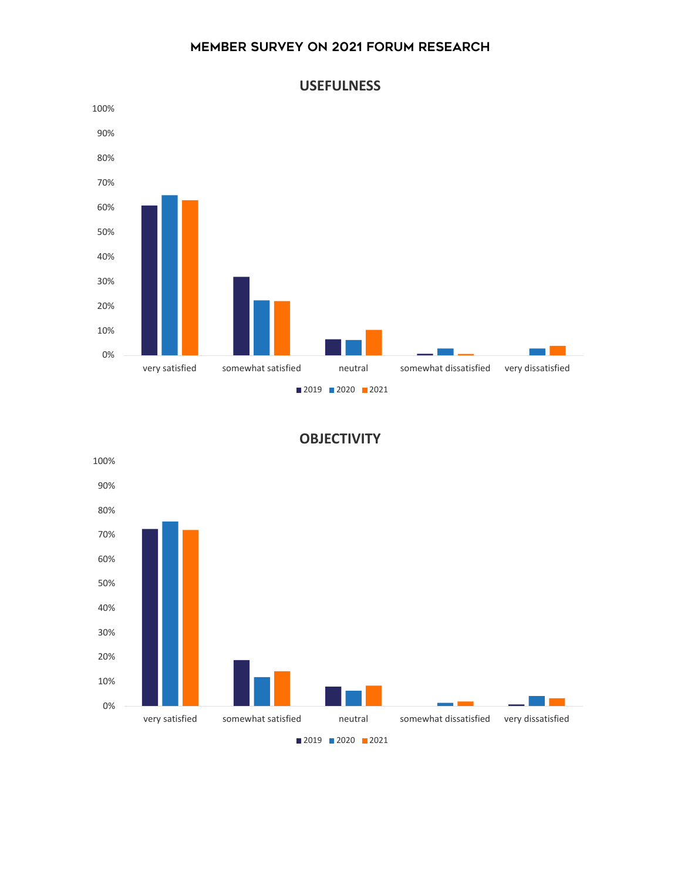



## **OBJECTIVITY**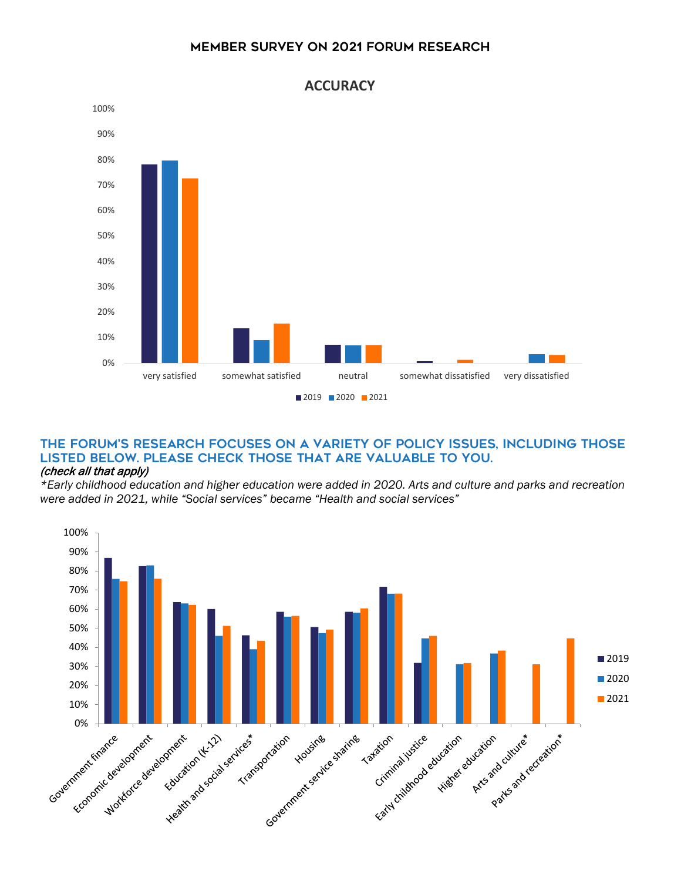

#### The Forum's research focuses on a variety of policy issues, including those listed below. Please check those that are valuable to you. (check all that apply)

*\*Early childhood education and higher education were added in 2020. Arts and culture and parks and recreation were added in 2021, while "Social services" became "Health and social services"*

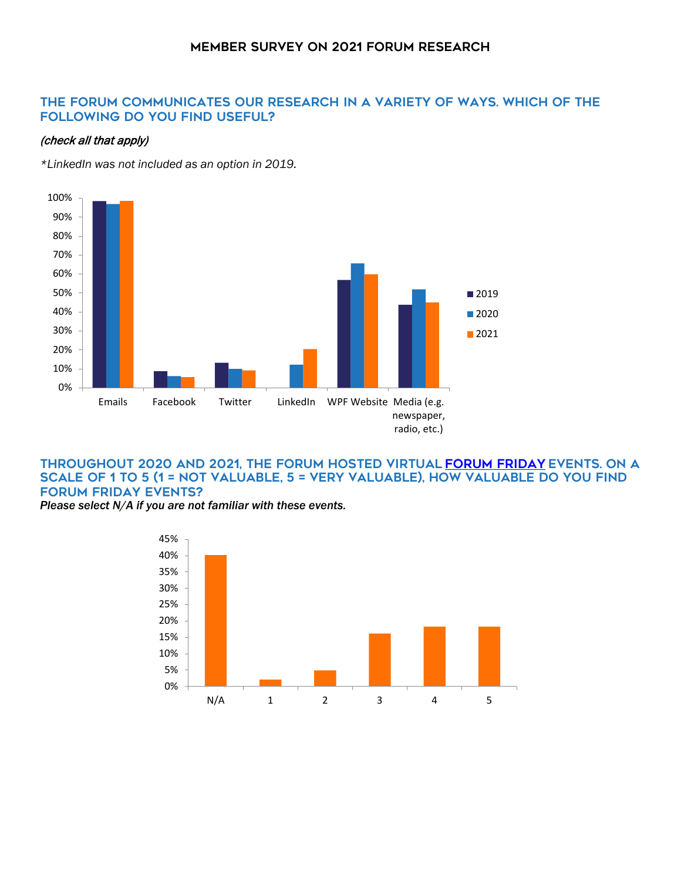## The Forum communicates our research in a variety of ways. Which of the following do you find useful?

#### (check all that apply)

*\*LinkedIn was not included as an option in 2019.*



#### THROUGHOUT 2020 AND 2021, THE FORUM HOSTED VIRTUAL FORUM FRIDAY EVENTS. ON A scale of 1 to 5 (1 = not valuable, 5 = very valuable), how valuable do you find Forum Friday events?

*Please select N/A if you are not familiar with these events.*